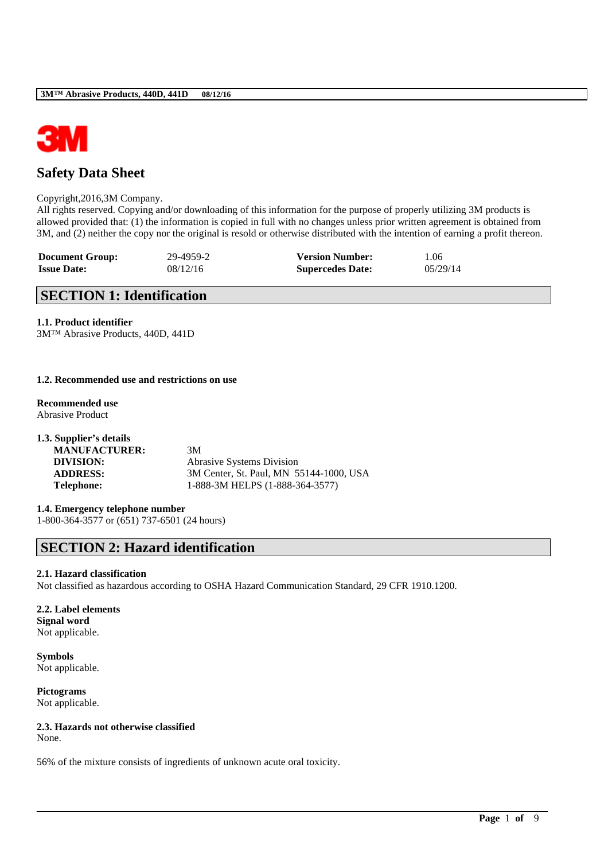

## **Safety Data Sheet**

#### Copyright,2016,3M Company.

All rights reserved. Copying and/or downloading of this information for the purpose of properly utilizing 3M products is allowed provided that: (1) the information is copied in full with no changes unless prior written agreement is obtained from 3M, and (2) neither the copy nor the original is resold or otherwise distributed with the intention of earning a profit thereon.

| <b>Document Group:</b> | 29-4959-2 | <b>Version Number:</b>  | 1.06      |
|------------------------|-----------|-------------------------|-----------|
| <b>Issue Date:</b>     | 08/12/16  | <b>Supercedes Date:</b> | 0.5/29/14 |

## **SECTION 1: Identification**

## **1.1. Product identifier**

3M™ Abrasive Products, 440D, 441D

### **1.2. Recommended use and restrictions on use**

**Recommended use** Abrasive Product

| 1.3. Supplier's details |                                         |
|-------------------------|-----------------------------------------|
| <b>MANUFACTURER:</b>    | 3M                                      |
| DIVISION:               | Abrasive Systems Division               |
| <b>ADDRESS:</b>         | 3M Center, St. Paul, MN 55144-1000, USA |
| <b>Telephone:</b>       | 1-888-3M HELPS (1-888-364-3577)         |

# **1.4. Emergency telephone number**

1-800-364-3577 or (651) 737-6501 (24 hours)

# **SECTION 2: Hazard identification**

## **2.1. Hazard classification**

Not classified as hazardous according to OSHA Hazard Communication Standard, 29 CFR 1910.1200.

\_\_\_\_\_\_\_\_\_\_\_\_\_\_\_\_\_\_\_\_\_\_\_\_\_\_\_\_\_\_\_\_\_\_\_\_\_\_\_\_\_\_\_\_\_\_\_\_\_\_\_\_\_\_\_\_\_\_\_\_\_\_\_\_\_\_\_\_\_\_\_\_\_\_\_\_\_\_\_\_\_\_\_\_\_\_\_\_\_\_

### **2.2. Label elements Signal word** Not applicable.

**Symbols** Not applicable.

**Pictograms** Not applicable.

## **2.3. Hazards not otherwise classified**

None.

56% of the mixture consists of ingredients of unknown acute oral toxicity.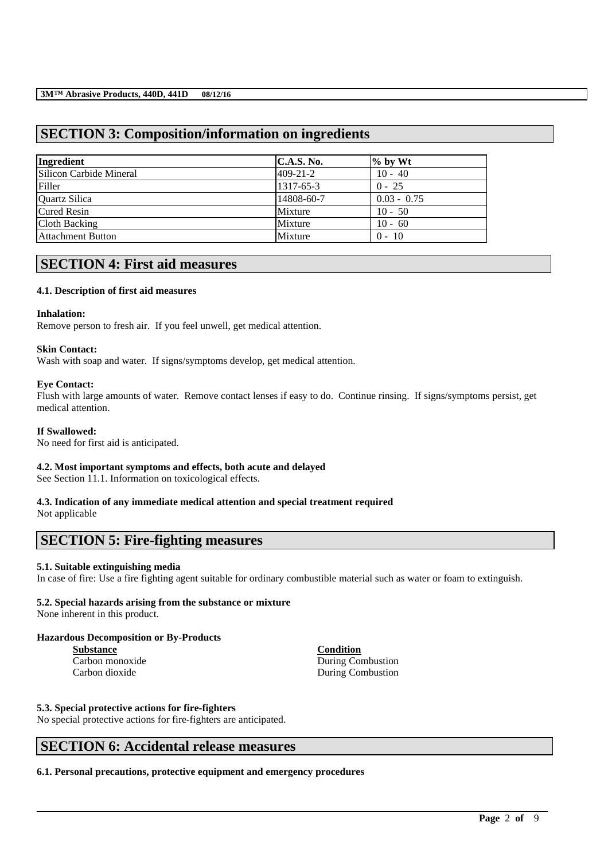## **SECTION 3: Composition/information on ingredients**

| Ingredient               | C.A.S. No.     | $\%$ by Wt    |
|--------------------------|----------------|---------------|
| Silicon Carbide Mineral  | $409 - 21 - 2$ | $10 - 40$     |
| Filler                   | 1317-65-3      | $0 - 25$      |
| Quartz Silica            | 14808-60-7     | $0.03 - 0.75$ |
| <b>Cured Resin</b>       | Mixture        | $10 - 50$     |
| Cloth Backing            | Mixture        | $10 - 60$     |
| <b>Attachment Button</b> | Mixture        | $0 - 10$      |

## **SECTION 4: First aid measures**

## **4.1. Description of first aid measures**

#### **Inhalation:**

Remove person to fresh air. If you feel unwell, get medical attention.

### **Skin Contact:**

Wash with soap and water. If signs/symptoms develop, get medical attention.

### **Eye Contact:**

Flush with large amounts of water. Remove contact lenses if easy to do. Continue rinsing. If signs/symptoms persist, get medical attention.

## **If Swallowed:**

No need for first aid is anticipated.

## **4.2. Most important symptoms and effects, both acute and delayed**

See Section 11.1. Information on toxicological effects.

## **4.3. Indication of any immediate medical attention and special treatment required**

Not applicable

## **SECTION 5: Fire-fighting measures**

## **5.1. Suitable extinguishing media**

In case of fire: Use a fire fighting agent suitable for ordinary combustible material such as water or foam to extinguish.

\_\_\_\_\_\_\_\_\_\_\_\_\_\_\_\_\_\_\_\_\_\_\_\_\_\_\_\_\_\_\_\_\_\_\_\_\_\_\_\_\_\_\_\_\_\_\_\_\_\_\_\_\_\_\_\_\_\_\_\_\_\_\_\_\_\_\_\_\_\_\_\_\_\_\_\_\_\_\_\_\_\_\_\_\_\_\_\_\_\_

## **5.2. Special hazards arising from the substance or mixture**

None inherent in this product.

## **Hazardous Decomposition or By-Products**

**Substance Condition**

Carbon monoxide During Combustion Carbon dioxide During Combustion

## **5.3. Special protective actions for fire-fighters**

No special protective actions for fire-fighters are anticipated.

## **SECTION 6: Accidental release measures**

**6.1. Personal precautions, protective equipment and emergency procedures**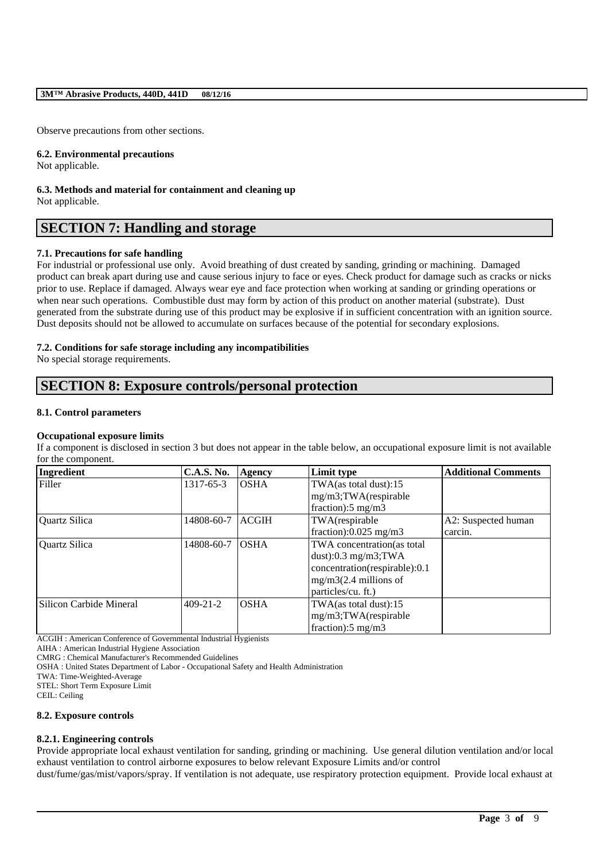Observe precautions from other sections.

#### **6.2. Environmental precautions**

Not applicable.

**6.3. Methods and material for containment and cleaning up** Not applicable.

## **SECTION 7: Handling and storage**

### **7.1. Precautions for safe handling**

For industrial or professional use only. Avoid breathing of dust created by sanding, grinding or machining. Damaged product can break apart during use and cause serious injury to face or eyes. Check product for damage such as cracks or nicks prior to use. Replace if damaged. Always wear eye and face protection when working at sanding or grinding operations or when near such operations. Combustible dust may form by action of this product on another material (substrate). Dust generated from the substrate during use of this product may be explosive if in sufficient concentration with an ignition source. Dust deposits should not be allowed to accumulate on surfaces because of the potential for secondary explosions.

### **7.2. Conditions for safe storage including any incompatibilities**

No special storage requirements.

## **SECTION 8: Exposure controls/personal protection**

#### **8.1. Control parameters**

#### **Occupational exposure limits**

If a component is disclosed in section 3 but does not appear in the table below, an occupational exposure limit is not available for the component.

| Ingredient              | <b>C.A.S. No.</b> | Agency       | Limit type                    | <b>Additional Comments</b> |
|-------------------------|-------------------|--------------|-------------------------------|----------------------------|
| Filler                  | 1317-65-3         | <b>OSHA</b>  | TWA(as total dust):15         |                            |
|                         |                   |              | $mg/m3$ ; TWA $(r$ espirable  |                            |
|                         |                   |              | fraction): $5 \text{ mg/m}$ 3 |                            |
| Quartz Silica           | 14808-60-7        | <b>ACGIH</b> | TWA(respirable                | A2: Suspected human        |
|                         |                   |              | fraction): $0.025$ mg/m3      | carcin.                    |
| Quartz Silica           | 14808-60-7        | <b>OSHA</b>  | TWA concentration (as total   |                            |
|                         |                   |              | dust): $0.3$ mg/m3;TWA        |                            |
|                         |                   |              | concentration(respirable):0.1 |                            |
|                         |                   |              | $mg/m3(2.4$ millions of       |                            |
|                         |                   |              | particles/cu. ft.)            |                            |
| Silicon Carbide Mineral | $409 - 21 - 2$    | <b>OSHA</b>  | TWA(as total dust):15         |                            |
|                         |                   |              | $mg/m3$ ; TWA $(r$ espirable  |                            |
|                         |                   |              | fraction): $5 \text{ mg/m}$ 3 |                            |

ACGIH : American Conference of Governmental Industrial Hygienists

AIHA : American Industrial Hygiene Association

CMRG : Chemical Manufacturer's Recommended Guidelines

OSHA : United States Department of Labor - Occupational Safety and Health Administration

TWA: Time-Weighted-Average

STEL: Short Term Exposure Limit

CEIL: Ceiling

#### **8.2. Exposure controls**

#### **8.2.1. Engineering controls**

Provide appropriate local exhaust ventilation for sanding, grinding or machining. Use general dilution ventilation and/or local exhaust ventilation to control airborne exposures to below relevant Exposure Limits and/or control dust/fume/gas/mist/vapors/spray. If ventilation is not adequate, use respiratory protection equipment. Provide local exhaust at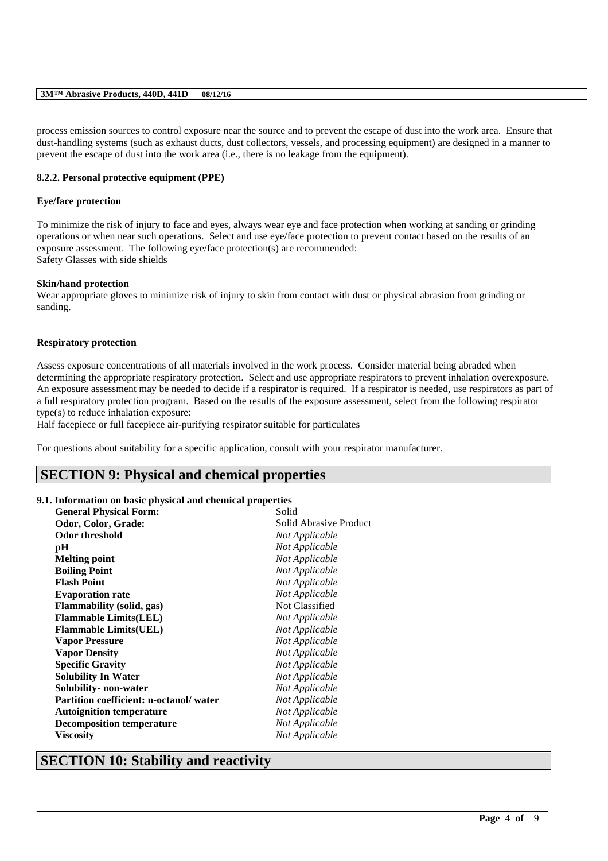process emission sources to control exposure near the source and to prevent the escape of dust into the work area. Ensure that dust-handling systems (such as exhaust ducts, dust collectors, vessels, and processing equipment) are designed in a manner to prevent the escape of dust into the work area (i.e., there is no leakage from the equipment).

### **8.2.2. Personal protective equipment (PPE)**

### **Eye/face protection**

To minimize the risk of injury to face and eyes, always wear eye and face protection when working at sanding or grinding operations or when near such operations. Select and use eye/face protection to prevent contact based on the results of an exposure assessment. The following eye/face protection(s) are recommended: Safety Glasses with side shields

#### **Skin/hand protection**

Wear appropriate gloves to minimize risk of injury to skin from contact with dust or physical abrasion from grinding or sanding.

#### **Respiratory protection**

Assess exposure concentrations of all materials involved in the work process. Consider material being abraded when determining the appropriate respiratory protection. Select and use appropriate respirators to prevent inhalation overexposure. An exposure assessment may be needed to decide if a respirator is required. If a respirator is needed, use respirators as part of a full respiratory protection program. Based on the results of the exposure assessment, select from the following respirator type(s) to reduce inhalation exposure:

\_\_\_\_\_\_\_\_\_\_\_\_\_\_\_\_\_\_\_\_\_\_\_\_\_\_\_\_\_\_\_\_\_\_\_\_\_\_\_\_\_\_\_\_\_\_\_\_\_\_\_\_\_\_\_\_\_\_\_\_\_\_\_\_\_\_\_\_\_\_\_\_\_\_\_\_\_\_\_\_\_\_\_\_\_\_\_\_\_\_

Half facepiece or full facepiece air-purifying respirator suitable for particulates

For questions about suitability for a specific application, consult with your respirator manufacturer.

## **SECTION 9: Physical and chemical properties**

#### **9.1. Information on basic physical and chemical properties**

| <b>General Physical Form:</b>                 | Solid                  |
|-----------------------------------------------|------------------------|
| Odor, Color, Grade:                           | Solid Abrasive Product |
| Odor threshold                                | Not Applicable         |
| pН                                            | Not Applicable         |
| <b>Melting point</b>                          | Not Applicable         |
| <b>Boiling Point</b>                          | Not Applicable         |
| <b>Flash Point</b>                            | Not Applicable         |
| <b>Evaporation rate</b>                       | Not Applicable         |
| Flammability (solid, gas)                     | Not Classified         |
| <b>Flammable Limits(LEL)</b>                  | Not Applicable         |
| <b>Flammable Limits(UEL)</b>                  | Not Applicable         |
| <b>Vapor Pressure</b>                         | Not Applicable         |
| <b>Vapor Density</b>                          | Not Applicable         |
| <b>Specific Gravity</b>                       | Not Applicable         |
| <b>Solubility In Water</b>                    | Not Applicable         |
| Solubility- non-water                         | Not Applicable         |
| <b>Partition coefficient: n-octanol/water</b> | Not Applicable         |
| <b>Autoignition temperature</b>               | Not Applicable         |
| <b>Decomposition temperature</b>              | Not Applicable         |
| <b>Viscosity</b>                              | Not Applicable         |
|                                               |                        |

## **SECTION 10: Stability and reactivity**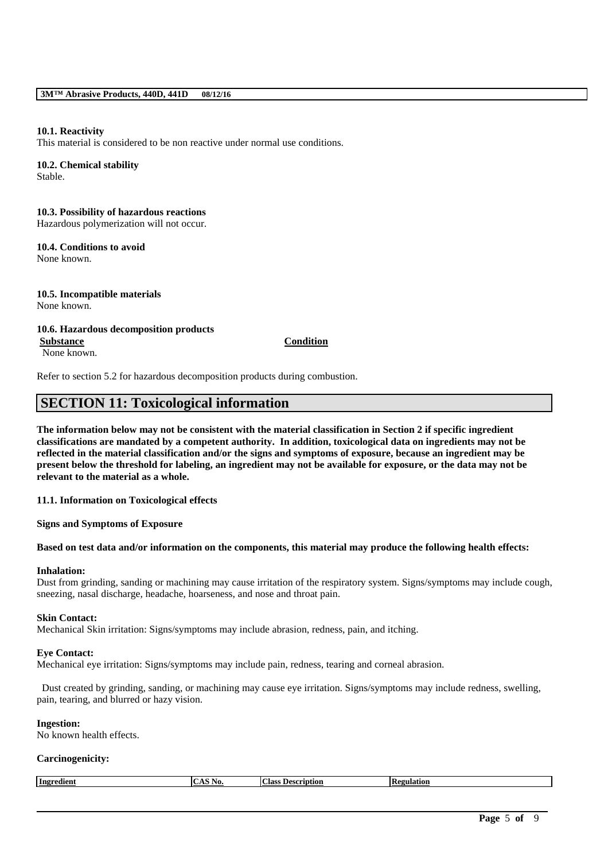### **10.1. Reactivity**

This material is considered to be non reactive under normal use conditions.

## **10.2. Chemical stability**

Stable.

## **10.3. Possibility of hazardous reactions**

Hazardous polymerization will not occur.

#### **10.4. Conditions to avoid** None known.

**10.5. Incompatible materials** None known.

#### **10.6. Hazardous decomposition products Substance Condition**

None known.

Refer to section 5.2 for hazardous decomposition products during combustion.

## **SECTION 11: Toxicological information**

**The information below may not be consistent with the material classification in Section 2 if specific ingredient classifications are mandated by a competent authority. In addition, toxicological data on ingredients may not be reflected in the material classification and/or the signs and symptoms of exposure, because an ingredient may be present below the threshold for labeling, an ingredient may not be available for exposure, or the data may not be relevant to the material as a whole.**

**11.1. Information on Toxicological effects**

**Signs and Symptoms of Exposure**

#### **Based on test data and/or information on the components, this material may produce the following health effects:**

## **Inhalation:**

Dust from grinding, sanding or machining may cause irritation of the respiratory system. Signs/symptoms may include cough, sneezing, nasal discharge, headache, hoarseness, and nose and throat pain.

#### **Skin Contact:**

Mechanical Skin irritation: Signs/symptoms may include abrasion, redness, pain, and itching.

#### **Eye Contact:**

Mechanical eye irritation: Signs/symptoms may include pain, redness, tearing and corneal abrasion.

Dust created by grinding, sanding, or machining may cause eye irritation. Signs/symptoms may include redness, swelling, pain, tearing, and blurred or hazy vision.

### **Ingestion:**

No known health effects.

#### **Carcinogenicity:**

| Ingredient | . VU. | Class<br>uption-<br>Descr<br>. . | tion. |
|------------|-------|----------------------------------|-------|
|            |       |                                  |       |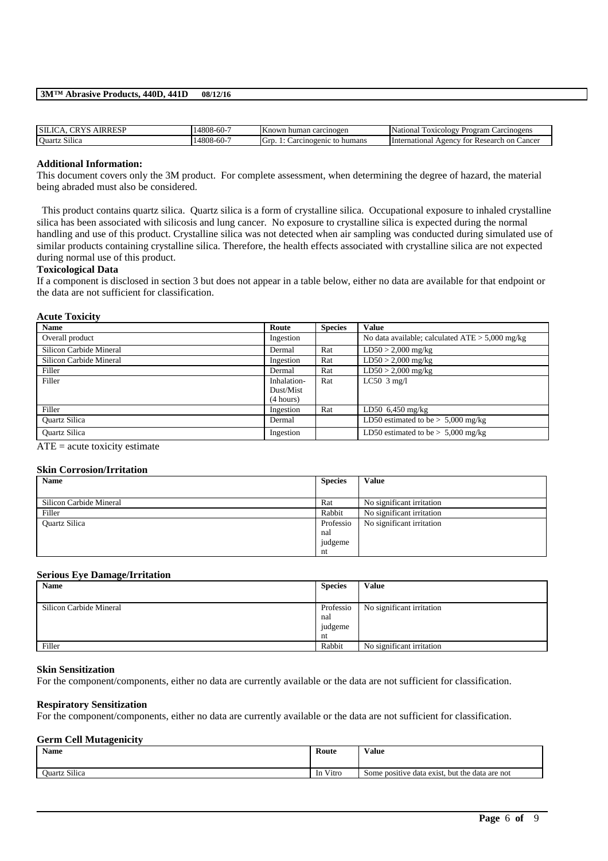| <b>SILIC</b><br>. I R<br>ESF | 14808<br>$5 - 60 - 7$  | Known human<br>carcinogen             | National<br><b>Foxicology</b><br>Carcinogens<br>Program                      |
|------------------------------|------------------------|---------------------------------------|------------------------------------------------------------------------------|
| <b>Ouartz Silica</b>         | 14808<br>. .<br>$-60-$ | humans<br>arcinogenic<br>10<br>$\sim$ | <b>International</b><br>Cancer<br>Agency<br><sub>on</sub><br>Research<br>tor |

#### **Additional Information:**

This document covers only the 3M product. For complete assessment, when determining the degree of hazard, the material being abraded must also be considered.

This product contains quartz silica. Quartz silica is a form of crystalline silica. Occupational exposure to inhaled crystalline silica has been associated with silicosis and lung cancer. No exposure to crystalline silica is expected during the normal handling and use of this product. Crystalline silica was not detected when air sampling was conducted during simulated use of similar products containing crystalline silica. Therefore, the health effects associated with crystalline silica are not expected during normal use of this product.

#### **Toxicological Data**

If a component is disclosed in section 3 but does not appear in a table below, either no data are available for that endpoint or the data are not sufficient for classification.

#### **Acute Toxicity**

| <b>Name</b>             | Route       | <b>Species</b> | <b>Value</b>                                      |
|-------------------------|-------------|----------------|---------------------------------------------------|
| Overall product         | Ingestion   |                | No data available; calculated $ATE > 5,000$ mg/kg |
| Silicon Carbide Mineral | Dermal      | Rat            | $LD50 > 2,000$ mg/kg                              |
| Silicon Carbide Mineral | Ingestion   | Rat            | $LD50 > 2,000$ mg/kg                              |
| Filler                  | Dermal      | Rat            | $LD50 > 2,000$ mg/kg                              |
| Filler                  | Inhalation- | Rat            | LC50 $3$ mg/l                                     |
|                         | Dust/Mist   |                |                                                   |
|                         | (4 hours)   |                |                                                   |
| Filler                  | Ingestion   | Rat            | LD50 $6,450$ mg/kg                                |
| <b>Ouartz Silica</b>    | Dermal      |                | LD50 estimated to be $> 5,000$ mg/kg              |
| <b>Ouartz Silica</b>    | Ingestion   |                | LD50 estimated to be $> 5,000$ mg/kg              |

 $ATE = acute toxicity estimate$ 

#### **Skin Corrosion/Irritation**

| <b>Name</b>             | <b>Species</b> | <b>Value</b>              |
|-------------------------|----------------|---------------------------|
|                         |                |                           |
| Silicon Carbide Mineral | Rat            | No significant irritation |
| Filler                  | Rabbit         | No significant irritation |
| Quartz Silica           | Professio      | No significant irritation |
|                         | nal            |                           |
|                         | judgeme        |                           |
|                         | nt             |                           |

## **Serious Eye Damage/Irritation**

| <b>Name</b>             | <b>Species</b> | Value                     |
|-------------------------|----------------|---------------------------|
|                         |                |                           |
| Silicon Carbide Mineral | Professio      | No significant irritation |
|                         | nal            |                           |
|                         | judgeme        |                           |
|                         | nt             |                           |
| Filler                  | Rabbit         | No significant irritation |

#### **Skin Sensitization**

For the component/components, either no data are currently available or the data are not sufficient for classification.

#### **Respiratory Sensitization**

For the component/components, either no data are currently available or the data are not sufficient for classification.

#### **Germ Cell Mutagenicity**

| <b>Name</b>                    | Route                   | Value                                          |
|--------------------------------|-------------------------|------------------------------------------------|
| $\sim \cdots$<br>Ouartz Silica | Vitro<br><sub>1</sub> n | Some positive data exist, but the data are not |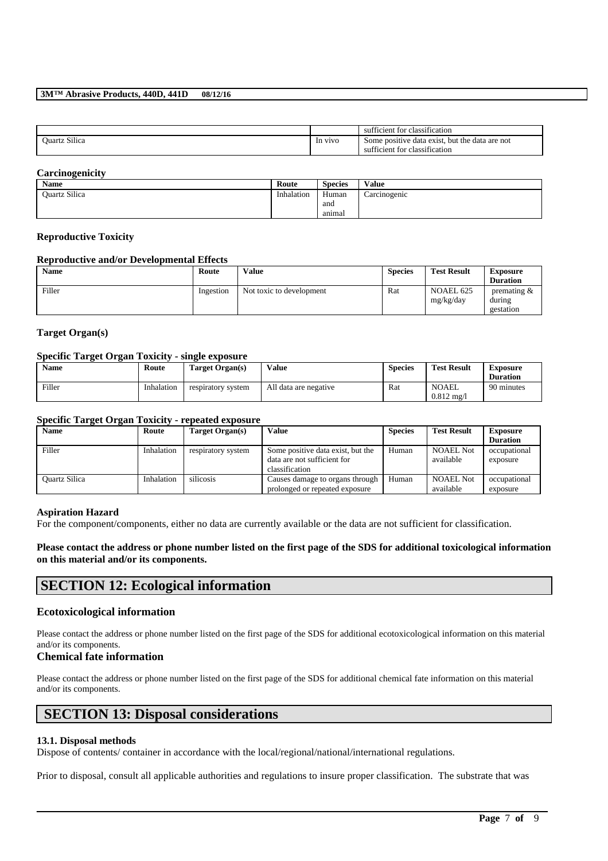|                                           |         | sufficient for classification                                                   |
|-------------------------------------------|---------|---------------------------------------------------------------------------------|
| $\sim \cdot \cdot \cdot$<br>Ouartz Silica | In vivo | Some positive data exist, but the data are not<br>sufficient for classification |

### **Carcinogenicity**

| Name          | Route      | <b>Species</b> | <b>Value</b> |
|---------------|------------|----------------|--------------|
| Ouartz Silica | Inhalation | Human          | Carcinogenic |
|               |            | and            |              |
|               |            | anımal         |              |

#### **Reproductive Toxicity**

#### **Reproductive and/or Developmental Effects**

| <b>Name</b> | Route     | <b>Value</b>             | <b>Species</b> | <b>Test Result</b>     | <b>Exposure</b><br><b>Duration</b>    |
|-------------|-----------|--------------------------|----------------|------------------------|---------------------------------------|
| Filler      | Ingestion | Not toxic to development | Rat            | NOAEL 625<br>mg/kg/day | premating $\&$<br>during<br>gestation |

### **Target Organ(s)**

#### **Specific Target Organ Toxicity - single exposure**

| <b>Name</b> | Route      | Target Organ(s)    | Value                 | <b>Species</b> | <b>Test Result</b>                    | <b>Exposure</b><br><b>Duration</b> |
|-------------|------------|--------------------|-----------------------|----------------|---------------------------------------|------------------------------------|
| Filler      | Inhalation | respiratory system | All data are negative | Rat            | <b>NOAEL</b><br>$0.812 \text{ mg}$ /1 | 90 minutes                         |

## **Specific Target Organ Toxicity - repeated exposure**

| <b>Name</b>          | Route      | Target Organ(s)    | Value                             | <b>Species</b> | <b>Test Result</b> | <b>Exposure</b> |
|----------------------|------------|--------------------|-----------------------------------|----------------|--------------------|-----------------|
|                      |            |                    |                                   |                |                    | <b>Duration</b> |
| Filler               | Inhalation | respiratory system | Some positive data exist, but the | Human          | <b>NOAEL Not</b>   | occupational    |
|                      |            |                    | data are not sufficient for       |                | available          | exposure        |
|                      |            |                    | classification                    |                |                    |                 |
| <b>Ouartz Silica</b> | Inhalation | silicosis          | Causes damage to organs through   | Human          | <b>NOAEL Not</b>   | occupational    |
|                      |            |                    | prolonged or repeated exposure    |                | available          | exposure        |

#### **Aspiration Hazard**

For the component/components, either no data are currently available or the data are not sufficient for classification.

### **Please contact the address or phone number listed on the first page of the SDS for additional toxicological information on this material and/or its components.**

## **SECTION 12: Ecological information**

#### **Ecotoxicological information**

Please contact the address or phone number listed on the first page of the SDS for additional ecotoxicological information on this material and/or its components.

## **Chemical fate information**

Please contact the address or phone number listed on the first page of the SDS for additional chemical fate information on this material and/or its components.

## **SECTION 13: Disposal considerations**

#### **13.1. Disposal methods**

Dispose of contents/ container in accordance with the local/regional/national/international regulations.

Prior to disposal, consult all applicable authorities and regulations to insure proper classification. The substrate that was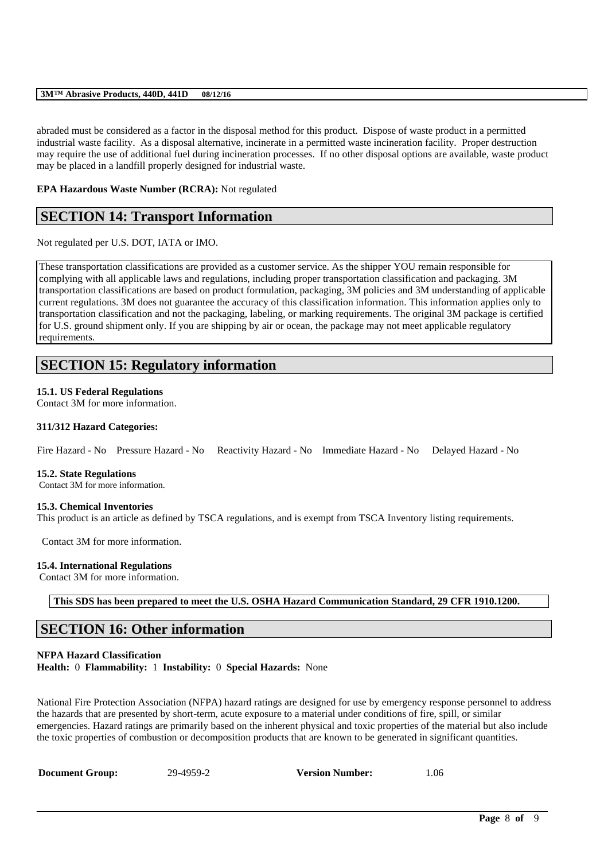abraded must be considered as a factor in the disposal method for this product. Dispose of waste product in a permitted industrial waste facility. As a disposal alternative, incinerate in a permitted waste incineration facility. Proper destruction may require the use of additional fuel during incineration processes. If no other disposal options are available, waste product may be placed in a landfill properly designed for industrial waste.

**EPA Hazardous Waste Number (RCRA):** Not regulated

## **SECTION 14: Transport Information**

Not regulated per U.S. DOT, IATA or IMO.

These transportation classifications are provided as a customer service. As the shipper YOU remain responsible for complying with all applicable laws and regulations, including proper transportation classification and packaging. 3M transportation classifications are based on product formulation, packaging, 3M policies and 3M understanding of applicable current regulations. 3M does not guarantee the accuracy of this classification information. This information applies only to transportation classification and not the packaging, labeling, or marking requirements. The original 3M package is certified for U.S. ground shipment only. If you are shipping by air or ocean, the package may not meet applicable regulatory requirements.

## **SECTION 15: Regulatory information**

### **15.1. US Federal Regulations**

Contact 3M for more information.

### **311/312 Hazard Categories:**

Fire Hazard - No Pressure Hazard - No Reactivity Hazard - No Immediate Hazard - No Delayed Hazard - No

#### **15.2. State Regulations**

Contact 3M for more information.

#### **15.3. Chemical Inventories**

This product is an article as defined by TSCA regulations, and is exempt from TSCA Inventory listing requirements.

Contact 3M for more information.

#### **15.4. International Regulations**

Contact 3M for more information.

**This SDS has been prepared to meet the U.S. OSHA Hazard Communication Standard, 29 CFR 1910.1200.**

## **SECTION 16: Other information**

**NFPA Hazard Classification Health:** 0 **Flammability:** 1 **Instability:** 0 **Special Hazards:** None

National Fire Protection Association (NFPA) hazard ratings are designed for use by emergency response personnel to address the hazards that are presented by short-term, acute exposure to a material under conditions of fire, spill, or similar emergencies. Hazard ratings are primarily based on the inherent physical and toxic properties of the material but also include the toxic properties of combustion or decomposition products that are known to be generated in significant quantities.